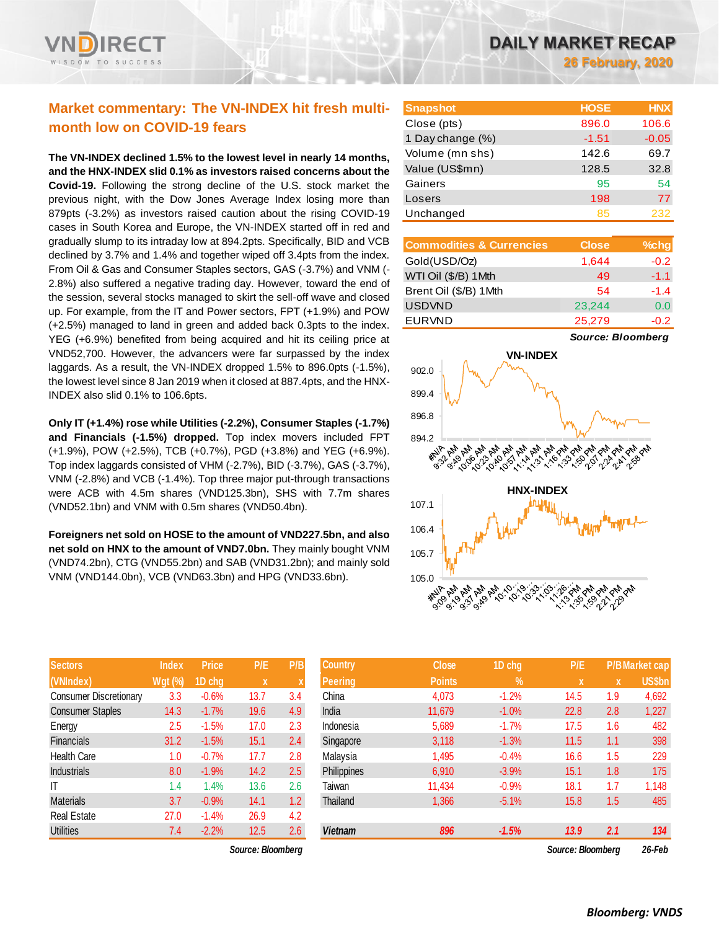

# **Market commentary: The VN-INDEX hit fresh multimonth low on COVID-19 fears**

**The VN-INDEX declined 1.5% to the lowest level in nearly 14 months, and the HNX-INDEX slid 0.1% as investors raised concerns about the Covid-19.** Following the strong decline of the U.S. stock market the previous night, with the Dow Jones Average Index losing more than 879pts (-3.2%) as investors raised caution about the rising COVID-19 cases in South Korea and Europe, the VN-INDEX started off in red and gradually slump to its intraday low at 894.2pts. Specifically, BID and VCB declined by 3.7% and 1.4% and together wiped off 3.4pts from the index. From Oil & Gas and Consumer Staples sectors, GAS (-3.7%) and VNM (- 2.8%) also suffered a negative trading day. However, toward the end of the session, several stocks managed to skirt the sell-off wave and closed up. For example, from the IT and Power sectors, FPT (+1.9%) and POW (+2.5%) managed to land in green and added back 0.3pts to the index. YEG (+6.9%) benefited from being acquired and hit its ceiling price at VND52,700. However, the advancers were far surpassed by the index laggards. As a result, the VN-INDEX dropped 1.5% to 896.0pts (-1.5%), the lowest level since 8 Jan 2019 when it closed at 887.4pts, and the HNX-INDEX also slid 0.1% to 106.6pts.

**Only IT (+1.4%) rose while Utilities (-2.2%), Consumer Staples (-1.7%) and Financials (-1.5%) dropped.** Top index movers included FPT (+1.9%), POW (+2.5%), TCB (+0.7%), PGD (+3.8%) and YEG (+6.9%). Top index laggards consisted of VHM (-2.7%), BID (-3.7%), GAS (-3.7%), VNM (-2.8%) and VCB (-1.4%). Top three major put-through transactions were ACB with 4.5m shares (VND125.3bn), SHS with 7.7m shares (VND52.1bn) and VNM with 0.5m shares (VND50.4bn).

**Foreigners net sold on HOSE to the amount of VND227.5bn, and also net sold on HNX to the amount of VND7.0bn.** They mainly bought VNM (VND74.2bn), CTG (VND55.2bn) and SAB (VND31.2bn); and mainly sold VNM (VND144.0bn), VCB (VND63.3bn) and HPG (VND33.6bn).

| <b>Sectors</b>                | <b>Index</b>   | <b>Price</b> | P/E  | P/B |
|-------------------------------|----------------|--------------|------|-----|
| (VNIndex)                     | <b>Wgt (%)</b> | 1D chg       | X    | X   |
| <b>Consumer Discretionary</b> | 3.3            | $-0.6%$      | 13.7 | 3.4 |
| <b>Consumer Staples</b>       | 14.3           | $-1.7%$      | 19.6 | 4.9 |
| Energy                        | 2.5            | $-1.5%$      | 17.0 | 2.3 |
| Financials                    | 31.2           | $-1.5%$      | 15.1 | 2.4 |
| <b>Health Care</b>            | 1.0            | $-0.7%$      | 17.7 | 2.8 |
| <b>Industrials</b>            | 8.0            | $-1.9%$      | 14.2 | 2.5 |
| ıτ                            | 1.4            | 1.4%         | 13.6 | 2.6 |
| <b>Materials</b>              | 3.7            | $-0.9%$      | 14.1 | 1.2 |
| <b>Real Estate</b>            | 27.0           | $-1.4%$      | 26.9 | 4.2 |
| <b>Utilities</b>              | 7.4            | $-2.2%$      | 12.5 | 2.6 |

 $Source: Bloomberg$ 

**26 February, 2020**

| <b>Snapshot</b>  | <b>HOSE</b> | <b>HNX</b> |
|------------------|-------------|------------|
| Close (pts)      | 896.0       | 106.6      |
| 1 Day change (%) | $-1.51$     | $-0.05$    |
| Volume (mn shs)  | 142.6       | 69.7       |
| Value (US\$mn)   | 128.5       | 32.8       |
| Gainers          | 95          | 54         |
| Losers           | 198         | 77         |
| Unchanged        | 85          | 232        |

| <b>Commodities &amp; Currencies</b> | <b>Close</b> | $%$ chg |
|-------------------------------------|--------------|---------|
| Gold(USD/Oz)                        | 1.644        | $-0.2$  |
| WTI Oil (\$/B) 1 Mth                | 49           | $-1.1$  |
| Brent Oil (\$/B) 1Mth               | 54           | $-1.4$  |
| <b>USDVND</b>                       | 23,244       | 0.0     |
| <b>EURVND</b>                       | 25,279       | $-0.2$  |

*Source: Bloomberg*



| <b>Sectors</b>          | <b>Index</b>   | <b>Price</b> | P/E               | P/B              | <b>Country</b> | <b>Close</b>  | 1D chg        | P/E               |     | <b>P/B Market cap</b> |
|-------------------------|----------------|--------------|-------------------|------------------|----------------|---------------|---------------|-------------------|-----|-----------------------|
| (VNIndex)               | <b>Wgt (%)</b> | 1D cha       | $\mathbf{x}$      |                  | <b>Peering</b> | <b>Points</b> | $\frac{9}{6}$ | X                 | X   | US\$bn                |
| Consumer Discretionary  | 3.3            | $-0.6%$      | 13.7              | 3.4              | China          | 4,073         | $-1.2%$       | 14.5              | 1.9 | 4,692                 |
| <b>Consumer Staples</b> | 14.3           | $-1.7%$      | 19.6              | 4.9              | India          | 11,679        | $-1.0%$       | 22.8              | 2.8 | 1,227                 |
| Energy                  | 2.5            | $-1.5%$      | 17.0              | 2.3              | Indonesia      | 5,689         | $-1.7%$       | 17.5              | 1.6 | 482                   |
| <b>Financials</b>       | 31.2           | $-1.5%$      | 15.1              | $2.4^{\circ}$    | Singapore      | 3,118         | $-1.3%$       | 11.5              | 1.1 | 398                   |
| <b>Health Care</b>      | 1.0            | $-0.7%$      | 17.7              | 2.8              | Malaysia       | 1,495         | $-0.4%$       | 16.6              | 1.5 | 229                   |
| <b>Industrials</b>      | 8.0            | $-1.9%$      | 14.2              | 2.5              | Philippines    | 6,910         | $-3.9%$       | 15.1              | 1.8 | 175                   |
| ΙT                      | 1.4            | 1.4%         | 13.6              | 2.6              | Taiwan         | 11,434        | $-0.9%$       | 18.1              | 1.7 | 1,148                 |
| Materials               | 3.7            | $-0.9%$      | 14.1              | 1.2 <sub>2</sub> | Thailand       | 1,366         | $-5.1%$       | 15.8              | 1.5 | 485                   |
| Real Estate             | 27.0           | $-1.4%$      | 26.9              | 4.2              |                |               |               |                   |     |                       |
| <b>Utilities</b>        | 7.4            | $-2.2%$      | 12.5              | 2.6              | <b>Vietnam</b> | 896           | $-1.5%$       | 13.9              | 2.1 | 134                   |
|                         |                |              | Source: Bloomberg |                  |                |               |               | Source: Bloomberg |     | 26-Feb                |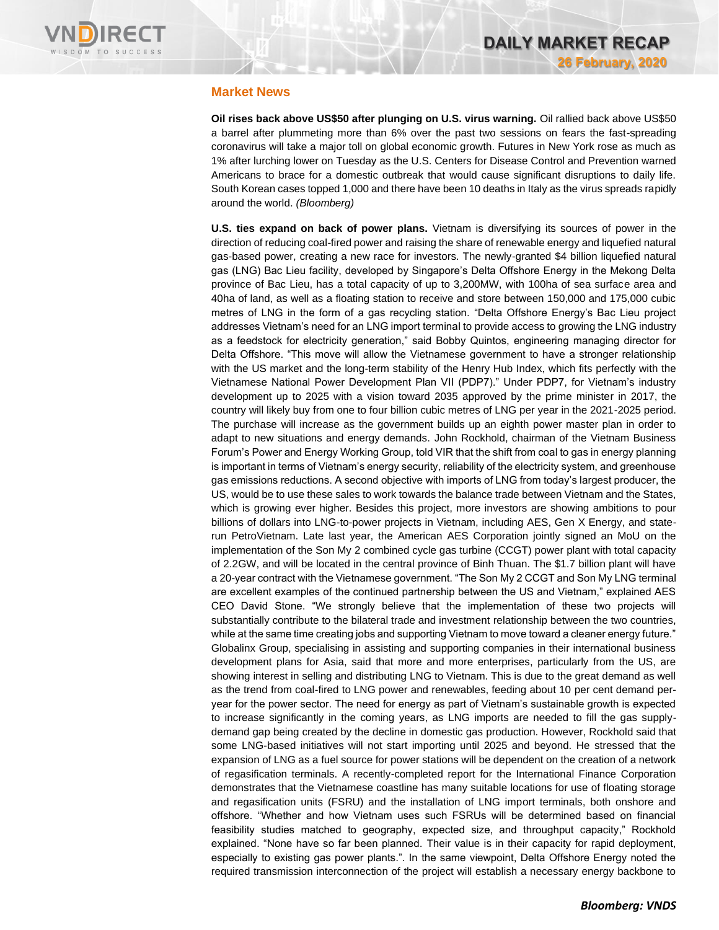

### **Market News**

**Oil rises back above US\$50 after plunging on U.S. virus warning.** Oil rallied back above US\$50 a barrel after plummeting more than 6% over the past two sessions on fears the fast-spreading coronavirus will take a major toll on global economic growth. Futures in New York rose as much as 1% after lurching lower on Tuesday as the U.S. Centers for Disease Control and Prevention warned Americans to brace for a domestic outbreak that would cause significant disruptions to daily life. South Korean cases topped 1,000 and there have been 10 deaths in Italy as the virus spreads rapidly around the world. *(Bloomberg)*

**U.S. ties expand on back of power plans.** Vietnam is diversifying its sources of power in the direction of reducing coal-fired power and raising the share of renewable energy and liquefied natural gas-based power, creating a new race for investors. The newly-granted \$4 billion liquefied natural gas (LNG) Bac Lieu facility, developed by Singapore's Delta Offshore Energy in the Mekong Delta province of Bac Lieu, has a total capacity of up to 3,200MW, with 100ha of sea surface area and 40ha of land, as well as a floating station to receive and store between 150,000 and 175,000 cubic metres of LNG in the form of a gas recycling station. "Delta Offshore Energy's Bac Lieu project addresses Vietnam's need for an LNG import terminal to provide access to growing the LNG industry as a feedstock for electricity generation," said Bobby Quintos, engineering managing director for Delta Offshore. "This move will allow the Vietnamese government to have a stronger relationship with the US market and the long-term stability of the Henry Hub Index, which fits perfectly with the Vietnamese National Power Development Plan VII (PDP7)." Under PDP7, for Vietnam's industry development up to 2025 with a vision toward 2035 approved by the prime minister in 2017, the country will likely buy from one to four billion cubic metres of LNG per year in the 2021-2025 period. The purchase will increase as the government builds up an eighth power master plan in order to adapt to new situations and energy demands. John Rockhold, chairman of the Vietnam Business Forum's Power and Energy Working Group, told VIR that the shift from coal to gas in energy planning is important in terms of Vietnam's energy security, reliability of the electricity system, and greenhouse gas emissions reductions. A second objective with imports of LNG from today's largest producer, the US, would be to use these sales to work towards the balance trade between Vietnam and the States, which is growing ever higher. Besides this project, more investors are showing ambitions to pour billions of dollars into LNG-to-power projects in Vietnam, including AES, Gen X Energy, and staterun PetroVietnam. Late last year, the American AES Corporation jointly signed an MoU on the implementation of the Son My 2 combined cycle gas turbine (CCGT) power plant with total capacity of 2.2GW, and will be located in the central province of Binh Thuan. The \$1.7 billion plant will have a 20-year contract with the Vietnamese government. "The Son My 2 CCGT and Son My LNG terminal are excellent examples of the continued partnership between the US and Vietnam," explained AES CEO David Stone. "We strongly believe that the implementation of these two projects will substantially contribute to the bilateral trade and investment relationship between the two countries, while at the same time creating jobs and supporting Vietnam to move toward a cleaner energy future." Globalinx Group, specialising in assisting and supporting companies in their international business development plans for Asia, said that more and more enterprises, particularly from the US, are showing interest in selling and distributing LNG to Vietnam. This is due to the great demand as well as the trend from coal-fired to LNG power and renewables, feeding about 10 per cent demand peryear for the power sector. The need for energy as part of Vietnam's sustainable growth is expected to increase significantly in the coming years, as LNG imports are needed to fill the gas supplydemand gap being created by the decline in domestic gas production. However, Rockhold said that some LNG-based initiatives will not start importing until 2025 and beyond. He stressed that the expansion of LNG as a fuel source for power stations will be dependent on the creation of a network of regasification terminals. A recently-completed report for the International Finance Corporation demonstrates that the Vietnamese coastline has many suitable locations for use of floating storage and regasification units (FSRU) and the installation of LNG import terminals, both onshore and offshore. "Whether and how Vietnam uses such FSRUs will be determined based on financial feasibility studies matched to geography, expected size, and throughput capacity," Rockhold explained. "None have so far been planned. Their value is in their capacity for rapid deployment, especially to existing gas power plants.". In the same viewpoint, Delta Offshore Energy noted the required transmission interconnection of the project will establish a necessary energy backbone to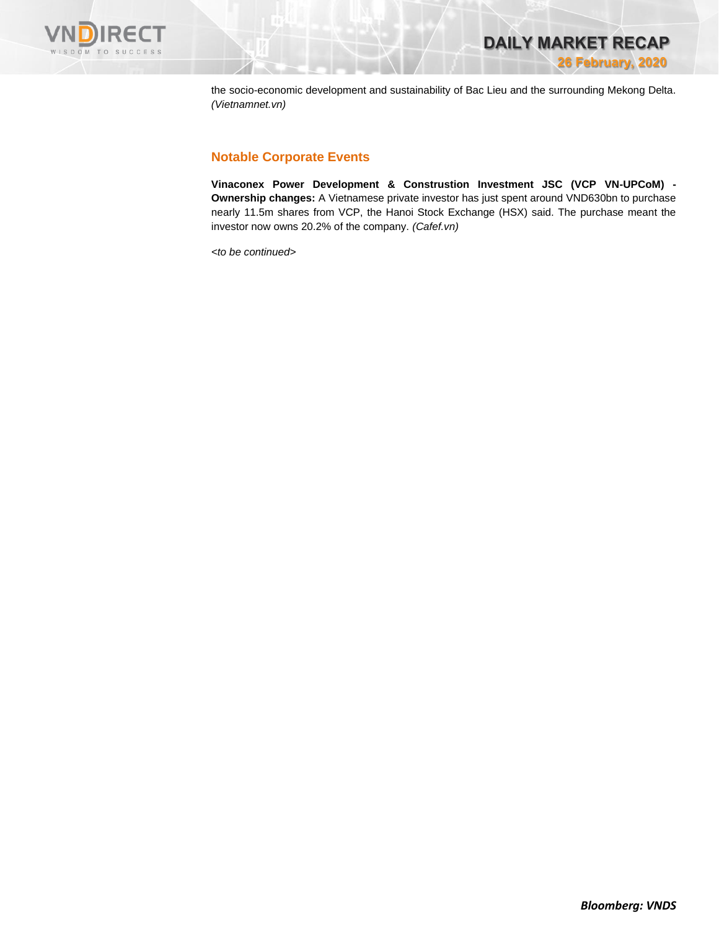



the socio-economic development and sustainability of Bac Lieu and the surrounding Mekong Delta. *(Vietnamnet.vn)*

# **Notable Corporate Events**

**Vinaconex Power Development & Construstion Investment JSC (VCP VN-UPCoM) - Ownership changes:** A Vietnamese private investor has just spent around VND630bn to purchase nearly 11.5m shares from VCP, the Hanoi Stock Exchange (HSX) said. The purchase meant the investor now owns 20.2% of the company. *(Cafef.vn)*

*<to be continued>*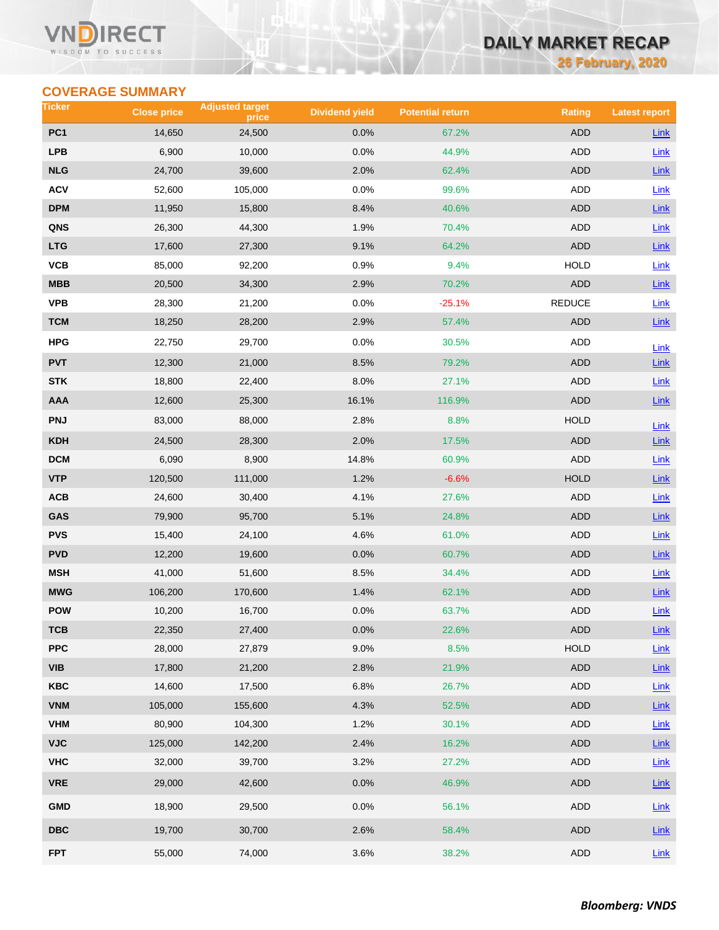### **VN RECT** WISDOM TO SUCCESS

# **DAILY MARKET RECAP**

**26 February, 2020**

# **COVERAGE SUMMARY**

| Ticker          | <b>Close price</b> | <b>Adjusted target</b><br>price | <b>Dividend yield</b> | <b>Potential return</b> | <b>Rating</b> | <b>Latest report</b> |
|-----------------|--------------------|---------------------------------|-----------------------|-------------------------|---------------|----------------------|
| PC <sub>1</sub> | 14,650             | 24,500                          | 0.0%                  | 67.2%                   | <b>ADD</b>    | <b>Link</b>          |
| <b>LPB</b>      | 6,900              | 10,000                          | 0.0%                  | 44.9%                   | <b>ADD</b>    | Link                 |
| <b>NLG</b>      | 24,700             | 39,600                          | 2.0%                  | 62.4%                   | <b>ADD</b>    | Link                 |
| <b>ACV</b>      | 52,600             | 105,000                         | 0.0%                  | 99.6%                   | ADD           | <b>Link</b>          |
| <b>DPM</b>      | 11,950             | 15,800                          | 8.4%                  | 40.6%                   | <b>ADD</b>    | Link                 |
| QNS             | 26,300             | 44,300                          | 1.9%                  | 70.4%                   | ADD           | Link                 |
| <b>LTG</b>      | 17,600             | 27,300                          | 9.1%                  | 64.2%                   | <b>ADD</b>    | Link                 |
| VCB             | 85,000             | 92,200                          | 0.9%                  | 9.4%                    | <b>HOLD</b>   | <b>Link</b>          |
| <b>MBB</b>      | 20,500             | 34,300                          | 2.9%                  | 70.2%                   | <b>ADD</b>    | Link                 |
| <b>VPB</b>      | 28,300             | 21,200                          | 0.0%                  | $-25.1%$                | <b>REDUCE</b> | Link                 |
| <b>TCM</b>      | 18,250             | 28,200                          | 2.9%                  | 57.4%                   | ADD           | Link                 |
| <b>HPG</b>      | 22,750             | 29,700                          | 0.0%                  | 30.5%                   | ADD           | Link                 |
| <b>PVT</b>      | 12,300             | 21,000                          | 8.5%                  | 79.2%                   | <b>ADD</b>    | <b>Link</b>          |
| <b>STK</b>      | 18,800             | 22,400                          | 8.0%                  | 27.1%                   | ADD           | <b>Link</b>          |
| <b>AAA</b>      | 12,600             | 25,300                          | 16.1%                 | 116.9%                  | <b>ADD</b>    | Link                 |
| <b>PNJ</b>      | 83,000             | 88,000                          | 2.8%                  | 8.8%                    | <b>HOLD</b>   | Link                 |
| <b>KDH</b>      | 24,500             | 28,300                          | 2.0%                  | 17.5%                   | <b>ADD</b>    | Link                 |
| <b>DCM</b>      | 6,090              | 8,900                           | 14.8%                 | 60.9%                   | ADD           | Link                 |
| <b>VTP</b>      | 120,500            | 111,000                         | 1.2%                  | $-6.6%$                 | <b>HOLD</b>   | Link                 |
| ACB             | 24,600             | 30,400                          | 4.1%                  | 27.6%                   | ADD           | <b>Link</b>          |
| GAS             | 79,900             | 95,700                          | 5.1%                  | 24.8%                   | <b>ADD</b>    | Link                 |
| <b>PVS</b>      | 15,400             | 24,100                          | 4.6%                  | 61.0%                   | ADD           | Link                 |
| <b>PVD</b>      | 12,200             | 19,600                          | 0.0%                  | 60.7%                   | ADD           | <b>Link</b>          |
| <b>MSH</b>      | 41,000             | 51,600                          | 8.5%                  | 34.4%                   | <b>ADD</b>    | Link                 |
| <b>MWG</b>      | 106,200            | 170,600                         | 1.4%                  | 62.1%                   | <b>ADD</b>    | Link                 |
| <b>POW</b>      | 10,200             | 16,700                          | 0.0%                  | 63.7%                   | ADD           | Link                 |
| тсв             | 22,350             | 27,400                          | 0.0%                  | 22.6%                   | ADD           | $Link$               |
| <b>PPC</b>      | 28,000             | 27,879                          | 9.0%                  | 8.5%                    | <b>HOLD</b>   | Link                 |
| <b>VIB</b>      | 17,800             | 21,200                          | 2.8%                  | 21.9%                   | ADD           | $Link$               |
| <b>KBC</b>      | 14,600             | 17,500                          | 6.8%                  | 26.7%                   | ADD           | Link                 |
| <b>VNM</b>      | 105,000            | 155,600                         | 4.3%                  | 52.5%                   | <b>ADD</b>    | $Link$               |
| <b>VHM</b>      | 80,900             | 104,300                         | 1.2%                  | 30.1%                   | ADD           | Link                 |
| <b>VJC</b>      | 125,000            | 142,200                         | 2.4%                  | 16.2%                   | ADD           | Link                 |
| <b>VHC</b>      | 32,000             | 39,700                          | 3.2%                  | 27.2%                   | ADD           | Link                 |
| <b>VRE</b>      | 29,000             | 42,600                          | 0.0%                  | 46.9%                   | ADD           | Link                 |
| <b>GMD</b>      | 18,900             | 29,500                          | 0.0%                  | 56.1%                   | ADD           | Link                 |
| <b>DBC</b>      | 19,700             | 30,700                          | 2.6%                  | 58.4%                   | ADD           | $Link$               |
| <b>FPT</b>      | 55,000             | 74,000                          | 3.6%                  | 38.2%                   | ADD           | $Link$               |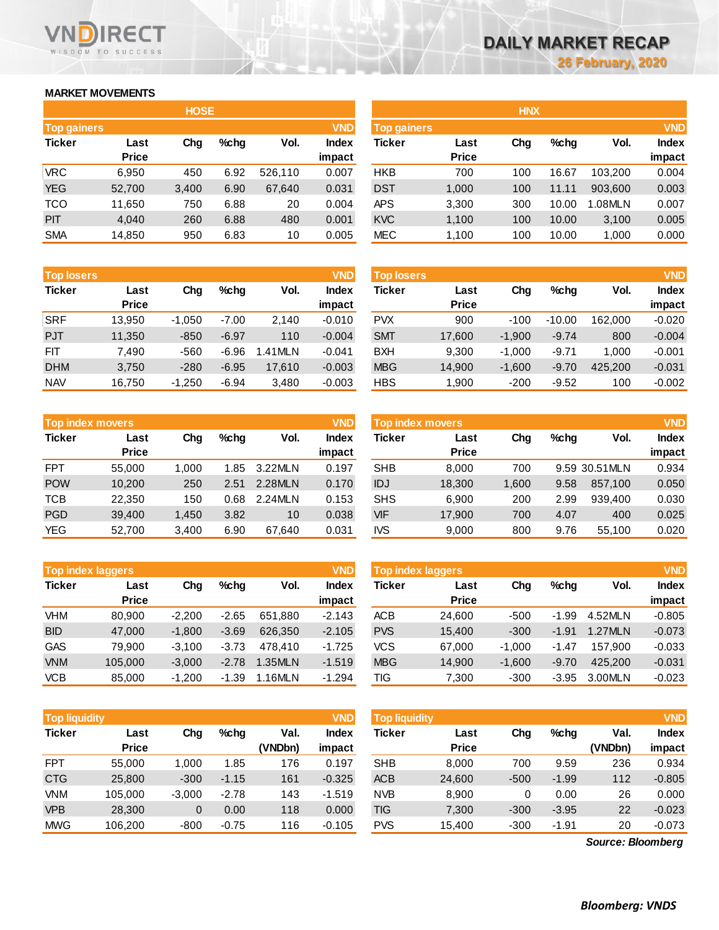# **MARKET MOVEMENTS**

WISDOM TO SUCCESS

**RECT** 

|                    |              | <b>HOSE</b> |         |         |            |                    |              | <b>HNX</b> |         |         |            |
|--------------------|--------------|-------------|---------|---------|------------|--------------------|--------------|------------|---------|---------|------------|
| <b>Top gainers</b> |              |             |         |         | <b>VND</b> | <b>Top gainers</b> |              |            |         |         | <b>VND</b> |
| <b>Ticker</b>      | Last         | Chg         | $%$ chg | Vol.    | Index      | Ticker             | Last         | Chg        | $%$ chg | Vol.    | Index      |
|                    | <b>Price</b> |             |         |         | impact     |                    | <b>Price</b> |            |         |         | impact     |
| <b>VRC</b>         | 6.950        | 450         | 6.92    | 526.110 | 0.007      | <b>HKB</b>         | 700          | 100        | 16.67   | 103.200 | 0.004      |
| <b>YEG</b>         | 52,700       | 3,400       | 6.90    | 67,640  | 0.031      | <b>DST</b>         | 1,000        | 100        | 11.11   | 903.600 | 0.003      |
| TCO                | 11,650       | 750         | 6.88    | 20      | 0.004      | <b>APS</b>         | 3,300        | 300        | 10.00   | 1.08MLN | 0.007      |
| <b>PIT</b>         | 4,040        | 260         | 6.88    | 480     | 0.001      | <b>KVC</b>         | 1,100        | 100        | 10.00   | 3,100   | 0.005      |
| <b>SMA</b>         | 14,850       | 950         | 6.83    | 10      | 0.005      | <b>MEC</b>         | 1,100        | 100        | 10.00   | 1,000   | 0.000      |

| <b>Top losers</b> |                      |          |         |         | <b>VND</b>      | <b>Top losers</b> |                      |          |          |         | <b>VND</b>      |  |  |
|-------------------|----------------------|----------|---------|---------|-----------------|-------------------|----------------------|----------|----------|---------|-----------------|--|--|
| <b>Ticker</b>     | Last<br><b>Price</b> | Chg      | $%$ chg | Vol.    | Index<br>impact | Ticker            | Last<br><b>Price</b> | Chg      | $%$ chg  | Vol.    | Index<br>impact |  |  |
| <b>SRF</b>        | 13,950               | $-1.050$ | $-7.00$ | 2.140   | $-0.010$        | <b>PVX</b>        | 900                  | $-100$   | $-10.00$ | 162.000 | $-0.020$        |  |  |
| <b>PJT</b>        | 11,350               | $-850$   | $-6.97$ | 110     | $-0.004$        | <b>SMT</b>        | 17,600               | $-1.900$ | $-9.74$  | 800     | $-0.004$        |  |  |
| <b>FIT</b>        | 7.490                | $-560$   | $-6.96$ | 1.41MLN | $-0.041$        | <b>BXH</b>        | 9.300                | $-1.000$ | $-9.71$  | 1.000   | $-0.001$        |  |  |
| <b>DHM</b>        | 3,750                | $-280$   | $-6.95$ | 17.610  | $-0.003$        | <b>MBG</b>        | 14,900               | $-1,600$ | $-9.70$  | 425.200 | $-0.031$        |  |  |
| <b>NAV</b>        | 16.750               | $-1,250$ | $-6.94$ | 3.480   | $-0.003$        | <b>HBS</b>        | 1.900                | $-200$   | $-9.52$  | 100     | $-0.002$        |  |  |

|               | <b>Top index movers</b> |       |         |         |              |  |  |  |  |  |  |  |
|---------------|-------------------------|-------|---------|---------|--------------|--|--|--|--|--|--|--|
| <b>Ticker</b> | Last                    | Cha   | $%$ chq | Vol.    | <b>Index</b> |  |  |  |  |  |  |  |
|               | <b>Price</b>            |       |         |         | impact       |  |  |  |  |  |  |  |
| <b>FPT</b>    | 55,000                  | 1,000 | 1.85    | 3.22MLN | 0.197        |  |  |  |  |  |  |  |
| <b>POW</b>    | 10,200                  | 250   | 2.51    | 2.28MLN | 0.170        |  |  |  |  |  |  |  |
| <b>TCB</b>    | 22,350                  | 150   | 0.68    | 2.24MLN | 0.153        |  |  |  |  |  |  |  |
| <b>PGD</b>    | 39,400                  | 1,450 | 3.82    | 10      | 0.038        |  |  |  |  |  |  |  |
| <b>YEG</b>    | 52,700                  | 3,400 | 6.90    | 67,640  | 0.031        |  |  |  |  |  |  |  |

| <b>Top index laggers</b> | <b>VND</b>   |          |         |         |              |
|--------------------------|--------------|----------|---------|---------|--------------|
| <b>Ticker</b>            | Last         | Cha      | %chq    | Vol.    | <b>Index</b> |
|                          | <b>Price</b> |          |         |         | impact       |
| <b>VHM</b>               | 80,900       | $-2,200$ | $-2.65$ | 651,880 | $-2.143$     |
| <b>BID</b>               | 47,000       | $-1,800$ | $-3.69$ | 626,350 | $-2.105$     |
| <b>GAS</b>               | 79,900       | $-3,100$ | $-3.73$ | 478.410 | $-1.725$     |
| <b>VNM</b>               | 105,000      | $-3,000$ | $-2.78$ | 1.35MLN | $-1.519$     |
| <b>VCB</b>               | 85,000       | $-1,200$ | $-1.39$ | 1.16MLN | $-1.294$     |

| <b>VND</b><br><b>Top liquidity</b> |              |          |         |         |          | <b>Top liquidity</b> |              |        |         |                   | <b>VND</b>   |
|------------------------------------|--------------|----------|---------|---------|----------|----------------------|--------------|--------|---------|-------------------|--------------|
| <b>Ticker</b>                      | Last         | Chg      | $%$ chg | Val.    | Index    | <b>Ticker</b>        | Last         | Chg    | $%$ chg | Val.              | <b>Index</b> |
|                                    | <b>Price</b> |          |         | (VNDbn) | impact   |                      | <b>Price</b> |        |         | (VNDbn)           | impact       |
| <b>FPT</b>                         | 55,000       | 1.000    | 1.85    | 176     | 0.197    | <b>SHB</b>           | 8.000        | 700    | 9.59    | 236               | 0.934        |
| <b>CTG</b>                         | 25,800       | $-300$   | $-1.15$ | 161     | $-0.325$ | <b>ACB</b>           | 24,600       | $-500$ | $-1.99$ | 112               | $-0.805$     |
| <b>VNM</b>                         | 105,000      | $-3,000$ | $-2.78$ | 143     | $-1.519$ | <b>NVB</b>           | 8,900        | 0      | 0.00    | 26                | 0.000        |
| <b>VPB</b>                         | 28,300       | 0        | 0.00    | 118     | 0.000    | TIG                  | 7,300        | $-300$ | $-3.95$ | 22                | $-0.023$     |
| <b>MWG</b>                         | 106,200      | $-800$   | $-0.75$ | 116     | $-0.105$ | <b>PVS</b>           | 15,400       | $-300$ | $-1.91$ | 20                | $-0.073$     |
|                                    |              |          |         |         |          |                      |              |        |         | Source: Bloomberg |              |

*Source: Bloomberg*

|                    |              | <b>HOSE</b> |         |         |              |               |                           | <b>HNX</b> |         |         |        |  |  |  |            |  |  |  |
|--------------------|--------------|-------------|---------|---------|--------------|---------------|---------------------------|------------|---------|---------|--------|--|--|--|------------|--|--|--|
| <b>Top gainers</b> |              |             |         |         |              |               | <b>VND</b><br>Top gainers |            |         |         |        |  |  |  | <b>VND</b> |  |  |  |
| Ticker             | Last         | Chg         | $%$ chg | Vol.    | <b>Index</b> | <b>Ticker</b> | Last                      | Chg        | $%$ chg | Vol.    | Index  |  |  |  |            |  |  |  |
|                    | <b>Price</b> |             |         |         | impact       |               | <b>Price</b>              |            |         |         | impact |  |  |  |            |  |  |  |
| VRC                | 6,950        | 450         | 6.92    | 526.110 | 0.007        | <b>HKB</b>    | 700                       | 100        | 16.67   | 103,200 | 0.004  |  |  |  |            |  |  |  |
| YEG                | 52,700       | 3,400       | 6.90    | 67,640  | 0.031        | <b>DST</b>    | 1,000                     | 100        | 11.11   | 903,600 | 0.003  |  |  |  |            |  |  |  |
| TCO                | 11,650       | 750         | 6.88    | 20      | 0.004        | <b>APS</b>    | 3,300                     | 300        | 10.00   | 1.08MLN | 0.007  |  |  |  |            |  |  |  |
| <b>PIT</b>         | 4,040        | 260         | 6.88    | 480     | 0.001        | <b>KVC</b>    | 1,100                     | 100        | 10.00   | 3,100   | 0.005  |  |  |  |            |  |  |  |
| <b>SMA</b>         | 14,850       | 950         | 6.83    | 10      | 0.005        | MEC           | 1,100                     | 100        | 10.00   | 1,000   | 0.000  |  |  |  |            |  |  |  |
|                    |              |             |         |         |              |               |                           |            |         |         |        |  |  |  |            |  |  |  |

|              |          |         |         | <b>VND</b>   | <b>Top losers</b> |              |          |          |         | <b>VND</b>   |
|--------------|----------|---------|---------|--------------|-------------------|--------------|----------|----------|---------|--------------|
| Last         | Chg      | $%$ chq | Vol.    | <b>Index</b> | Ticker            | Last         | Chg      | $%$ chg  | Vol.    | <b>Index</b> |
| <b>Price</b> |          |         |         | impact       |                   | <b>Price</b> |          |          |         | impact       |
| 13.950       | $-1,050$ | $-7.00$ | 2,140   | $-0.010$     | <b>PVX</b>        | 900          | $-100$   | $-10.00$ | 162.000 | $-0.020$     |
| 11,350       | $-850$   | $-6.97$ | 110     | $-0.004$     | <b>SMT</b>        | 17,600       | $-1.900$ | $-9.74$  | 800     | $-0.004$     |
| 7.490        | $-560$   | $-6.96$ | 1.41MLN | $-0.041$     | <b>BXH</b>        | 9.300        | $-1.000$ | $-9.71$  | 1.000   | $-0.001$     |
| 3,750        | $-280$   | $-6.95$ | 17.610  | $-0.003$     | <b>MBG</b>        | 14,900       | $-1,600$ | $-9.70$  | 425.200 | $-0.031$     |
| 16,750       | $-1,250$ | $-6.94$ | 3,480   | $-0.003$     | <b>HBS</b>        | 1,900        | $-200$   | $-9.52$  | 100     | $-0.002$     |
|              |          |         |         |              |                   |              |          |          |         |              |

|            | <b>Top index movers</b> |       |      |         | <b>VND</b>   | Top index movers |              | <b>VND</b> |      |                |              |
|------------|-------------------------|-------|------|---------|--------------|------------------|--------------|------------|------|----------------|--------------|
| Ticker     | Last                    | Chg   | %chq | Vol.    | <b>Index</b> | Ticker           | Last         | Chg        | %chq | Vol.           | <b>Index</b> |
|            | <b>Price</b>            |       |      |         | impact       |                  | <b>Price</b> |            |      |                | impact       |
| FPT        | 55,000                  | 1.000 | 1.85 | 3.22MLN | 0.197        | <b>SHB</b>       | 8.000        | 700        |      | 9.59 30.51 MLN | 0.934        |
| <b>POW</b> | 10,200                  | 250   | 2.51 | 2.28MLN | 0.170        | IDJ              | 18,300       | 1,600      | 9.58 | 857.100        | 0.050        |
| тсв        | 22,350                  | 150   | 0.68 | 2.24MLN | 0.153        | <b>SHS</b>       | 6,900        | 200        | 2.99 | 939.400        | 0.030        |
| PGD        | 39.400                  | 1.450 | 3.82 | 10      | 0.038        | VIF              | 17,900       | 700        | 4.07 | 400            | 0.025        |
| YEG        | 52,700                  | 3,400 | 6.90 | 67,640  | 0.031        | IVS              | 9,000        | 800        | 9.76 | 55.100         | 0.020        |
|            |                         |       |      |         |              |                  |              |            |      |                |              |

|            | <b>Top index laggers</b> |          |         |         | <b>VND</b>             | <b>Top index laggers</b> |                      |          |         |         |                        |
|------------|--------------------------|----------|---------|---------|------------------------|--------------------------|----------------------|----------|---------|---------|------------------------|
| Ticker     | Last<br><b>Price</b>     | Cha      | $%$ chg | Vol.    | <b>Index</b><br>impact | Ticker                   | Last<br><b>Price</b> | Chg      | $%$ chg | Vol.    | <b>Index</b><br>impact |
| VHM        | 80.900                   | $-2.200$ | $-2.65$ | 651.880 | $-2.143$               | <b>ACB</b>               | 24.600               | $-500$   | $-1.99$ | 4.52MLN | $-0.805$               |
| <b>BID</b> | 47.000                   | $-1.800$ | $-3.69$ | 626,350 | $-2.105$               | <b>PVS</b>               | 15.400               | $-300$   | $-1.91$ | 1.27MLN | $-0.073$               |
| GAS        | 79.900                   | $-3.100$ | $-3.73$ | 478.410 | $-1.725$               | VCS                      | 67.000               | $-1.000$ | $-1.47$ | 157.900 | $-0.033$               |
| <b>VNM</b> | 105.000                  | $-3.000$ | $-2.78$ | 1.35MLN | $-1.519$               | <b>MBG</b>               | 14,900               | $-1.600$ | $-9.70$ | 425.200 | $-0.031$               |
| VCB        | 85,000                   | $-1.200$ | $-1.39$ | 1.16MLN | $-1.294$               | TIG                      | 7.300                | $-300$   | $-3.95$ | 3.00MLN | $-0.023$               |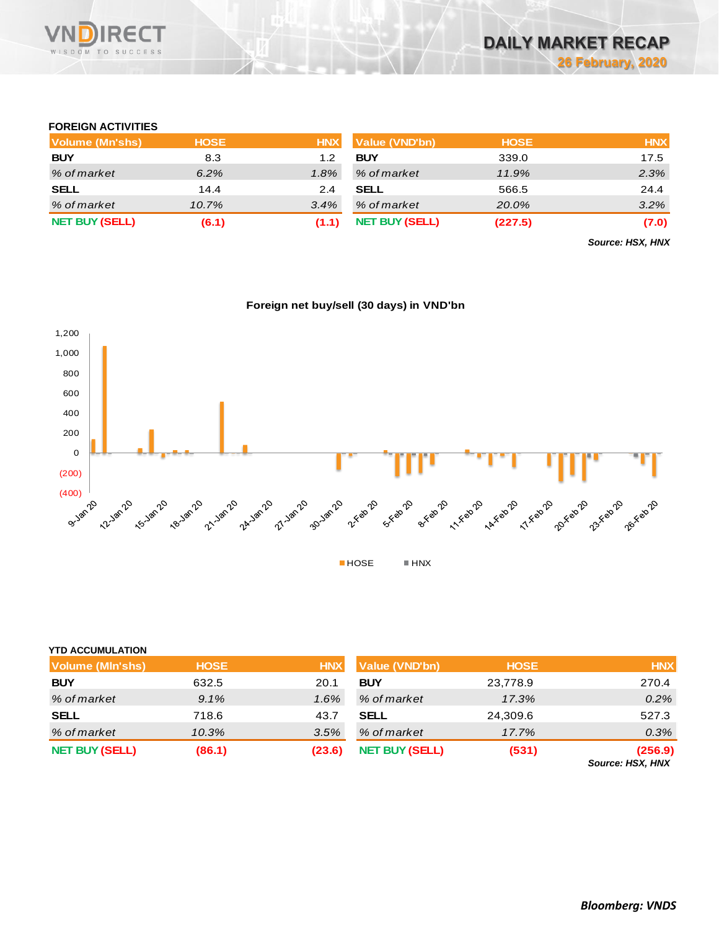

## **FOREIGN ACTIVITIES**

| <b>Volume (Mn'shs)</b> | <b>HOSE</b> | <b>HNX</b> | <b>Value (VND'bn)</b> | <b>HOSE</b> | <b>HNX</b> |
|------------------------|-------------|------------|-----------------------|-------------|------------|
| <b>BUY</b>             | 8.3         | 1.2        | <b>BUY</b>            | 339.0       | 17.5       |
| % of market            | 6.2%        | $1.8\%$    | % of market           | 11.9%       | 2.3%       |
| <b>SELL</b>            | 14.4        | 2.4        | <b>SELL</b>           | 566.5       | 24.4       |
| % of market            | 10.7%       | 3.4%       | % of market           | 20.0%       | 3.2%       |
| <b>NET BUY (SELL)</b>  | (6.1)       | (1.1)      | <b>NET BUY (SELL)</b> | (227.5)     | (7.0)      |

*Source: HSX, HNX*



## **Foreign net buy/sell (30 days) in VND'bn**

| <b>YTD ACCUMULATION</b> |             |            |                       |             |                                    |
|-------------------------|-------------|------------|-----------------------|-------------|------------------------------------|
| <b>Volume (MIn'shs)</b> | <b>HOSE</b> | <b>HNX</b> | Value (VND'bn)        | <b>HOSE</b> | <b>HNX</b>                         |
| <b>BUY</b>              | 632.5       | 20.1       | <b>BUY</b>            | 23,778.9    | 270.4                              |
| % of market             | 9.1%        | $1.6\%$    | % of market           | 17.3%       | 0.2%                               |
| <b>SELL</b>             | 718.6       | 43.7       | <b>SELL</b>           | 24,309.6    | 527.3                              |
| % of market             | 10.3%       | 3.5%       | % of market           | 17.7%       | 0.3%                               |
| <b>NET BUY (SELL)</b>   | (86.1)      | (23.6)     | <b>NET BUY (SELL)</b> | (531)       | (256.9)<br><b>Source: HSX, HNX</b> |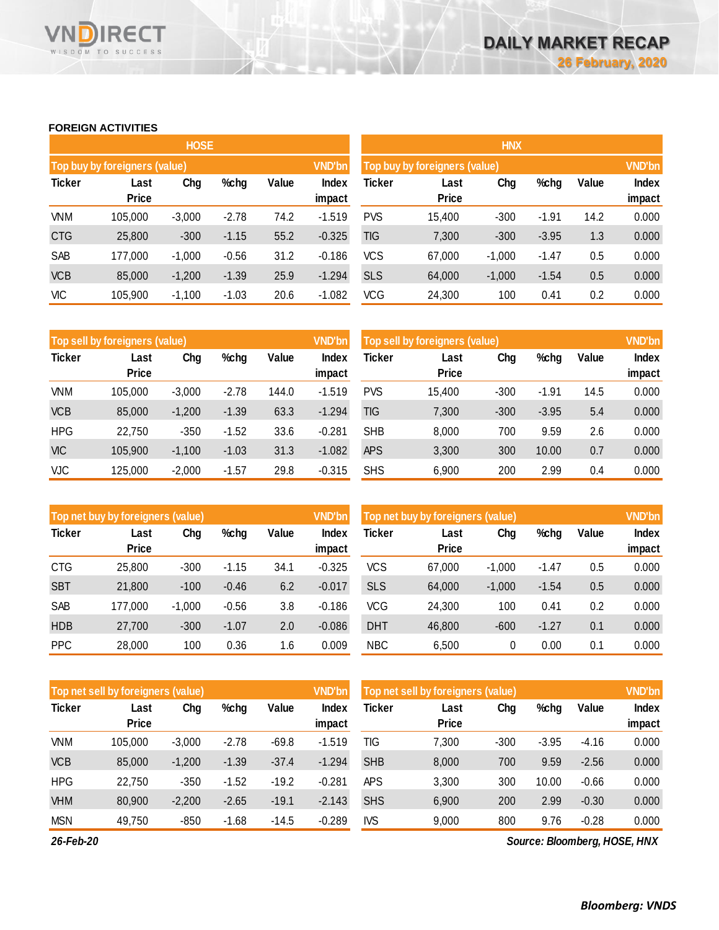### **FOREIGN ACTIVITIES**

WISDOM TO SUCCESS

**RECT** 

VNĪ

|               |                               | <b>HOSE</b> |         |       |                        | <b>HNX</b>                    |                      |          |         |       |                 |  |
|---------------|-------------------------------|-------------|---------|-------|------------------------|-------------------------------|----------------------|----------|---------|-------|-----------------|--|
|               | Top buy by foreigners (value) |             |         |       | <b>VND'bn</b>          | Top buy by foreigners (value) |                      |          |         |       |                 |  |
| <b>Ticker</b> | Last<br><b>Price</b>          | Chg         | %chg    | Value | <b>Index</b><br>impact | Ticker                        | Last<br><b>Price</b> | Chg      | %chg    | Value | Index<br>impact |  |
| <b>VNM</b>    | 105,000                       | $-3,000$    | $-2.78$ | 74.2  | $-1.519$               | <b>PVS</b>                    | 15,400               | $-300$   | $-1.91$ | 14.2  | 0.000           |  |
| <b>CTG</b>    | 25,800                        | $-300$      | $-1.15$ | 55.2  | $-0.325$               | <b>TIG</b>                    | 7,300                | $-300$   | $-3.95$ | 1.3   | 0.000           |  |
| SAB           | 177,000                       | $-1,000$    | $-0.56$ | 31.2  | $-0.186$               | <b>VCS</b>                    | 67,000               | $-1,000$ | $-1.47$ | 0.5   | 0.000           |  |
| <b>VCB</b>    | 85,000                        | $-1,200$    | $-1.39$ | 25.9  | $-1.294$               | <b>SLS</b>                    | 64,000               | $-1,000$ | $-1.54$ | 0.5   | 0.000           |  |
| <b>VIC</b>    | 105,900                       | $-1.100$    | $-1.03$ | 20.6  | $-1.082$               | <b>VCG</b>                    | 24,300               | 100      | 0.41    | 0.2   | 0.000           |  |

|               | Top sell by foreigners (value) |          |         |       | <b>VND'bn</b>   | Top sell by foreigners (value) |                      |        |         |       |                 |
|---------------|--------------------------------|----------|---------|-------|-----------------|--------------------------------|----------------------|--------|---------|-------|-----------------|
| <b>Ticker</b> | Last<br><b>Price</b>           | Chg      | %chg    | Value | Index<br>impact | Ticker                         | Last<br><b>Price</b> | Chg    | %chg    | Value | Index<br>impact |
| VNM           | 105,000                        | $-3.000$ | $-2.78$ | 144.0 | $-1.519$        | <b>PVS</b>                     | 15.400               | $-300$ | $-1.91$ | 14.5  | 0.000           |
| <b>VCB</b>    | 85,000                         | $-1,200$ | $-1.39$ | 63.3  | $-1.294$        | TIG                            | 7,300                | $-300$ | $-3.95$ | 5.4   | 0.000           |
| <b>HPG</b>    | 22,750                         | $-350$   | $-1.52$ | 33.6  | $-0.281$        | <b>SHB</b>                     | 8,000                | 700    | 9.59    | 2.6   | 0.000           |
| <b>VIC</b>    | 105,900                        | $-1,100$ | $-1.03$ | 31.3  | $-1.082$        | <b>APS</b>                     | 3,300                | 300    | 10.00   | 0.7   | 0.000           |
| <b>VJC</b>    | 125,000                        | $-2,000$ | $-1.57$ | 29.8  | $-0.315$        | <b>SHS</b>                     | 6,900                | 200    | 2.99    | 0.4   | 0.000           |

|               | Top net buy by foreigners (value) |          |         |       | <b>VND'bn</b>   | Top net buy by foreigners (value) |                      |          |         |       |                 |
|---------------|-----------------------------------|----------|---------|-------|-----------------|-----------------------------------|----------------------|----------|---------|-------|-----------------|
| <b>Ticker</b> | Last<br><b>Price</b>              | Chg      | %chg    | Value | Index<br>impact | Ticker                            | Last<br><b>Price</b> | Chg      | %chg    | Value | Index<br>impact |
| <b>CTG</b>    | 25,800                            | $-300$   | $-1.15$ | 34.1  | $-0.325$        | VCS                               | 67,000               | $-1,000$ | $-1.47$ | 0.5   | 0.000           |
| <b>SBT</b>    | 21,800                            | $-100$   | $-0.46$ | 6.2   | $-0.017$        | <b>SLS</b>                        | 64,000               | $-1,000$ | $-1.54$ | 0.5   | 0.000           |
| SAB           | 177,000                           | $-1,000$ | $-0.56$ | 3.8   | $-0.186$        | VCG                               | 24,300               | 100      | 0.41    | 0.2   | 0.000           |
| <b>HDB</b>    | 27,700                            | $-300$   | $-1.07$ | 2.0   | $-0.086$        | <b>DHT</b>                        | 46,800               | $-600$   | $-1.27$ | 0.1   | 0.000           |
| <b>PPC</b>    | 28,000                            | 100      | 0.36    | 1.6   | 0.009           | <b>NBC</b>                        | 6,500                | 0        | 0.00    | 0.1   | 0.000           |

|               | Top net sell by foreigners (value) |          |         |         | <b>VND'bn</b> | Top net sell by foreigners (value) |              |        |         |         |              |
|---------------|------------------------------------|----------|---------|---------|---------------|------------------------------------|--------------|--------|---------|---------|--------------|
| <b>Ticker</b> | Last                               | Chg      | %chg    | Value   | Index         | Ticker                             | Last         | Chg    | %chg    | Value   | <b>Index</b> |
|               | <b>Price</b>                       |          |         |         | impact        |                                    | <b>Price</b> |        |         |         | impact       |
| <b>VNM</b>    | 105,000                            | $-3.000$ | $-2.78$ | $-69.8$ | $-1.519$      | TIG                                | 7,300        | $-300$ | $-3.95$ | $-4.16$ | 0.000        |
| <b>VCB</b>    | 85,000                             | $-1,200$ | $-1.39$ | $-37.4$ | $-1.294$      | <b>SHB</b>                         | 8,000        | 700    | 9.59    | $-2.56$ | 0.000        |
| <b>HPG</b>    | 22.750                             | $-350$   | $-1.52$ | $-19.2$ | $-0.281$      | APS                                | 3,300        | 300    | 10.00   | $-0.66$ | 0.000        |
| <b>VHM</b>    | 80,900                             | $-2,200$ | $-2.65$ | $-19.1$ | $-2.143$      | <b>SHS</b>                         | 6,900        | 200    | 2.99    | $-0.30$ | 0.000        |
| <b>MSN</b>    | 49,750                             | $-850$   | $-1.68$ | $-14.5$ | $-0.289$      | IVS                                | 9,000        | 800    | 9.76    | $-0.28$ | 0.000        |

*26-Feb-20*

*Source: Bloomberg, HOSE, HNX*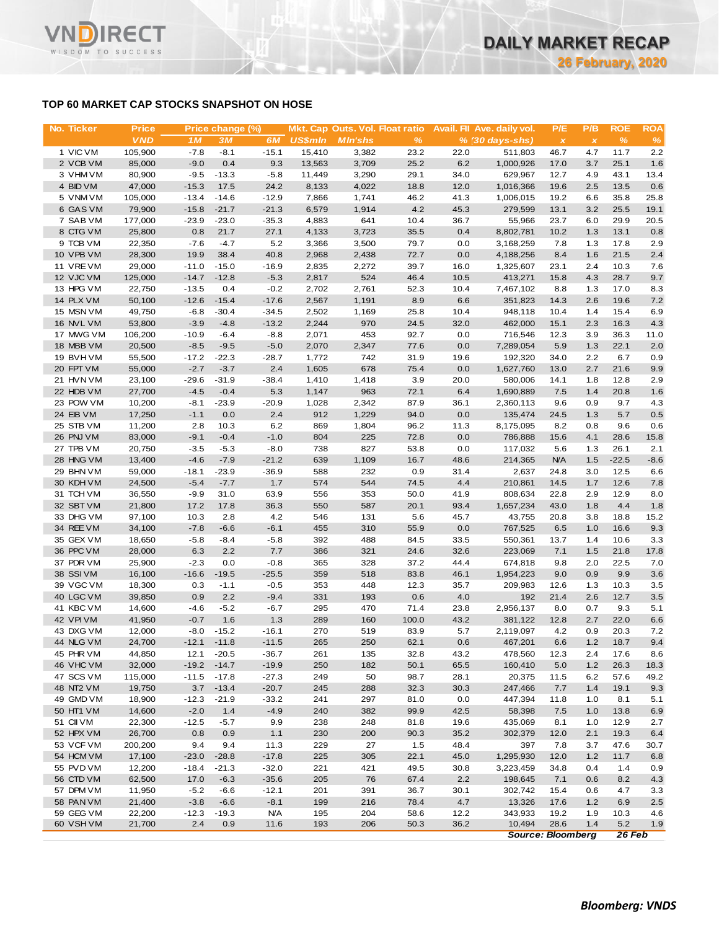# **TOP 60 MARKET CAP STOCKS SNAPSHOT ON HOSE**

**RECT** 

WISDOM TO SUCCESS

**VND** 

| No. Ticker             | <b>Price</b>     |                 | Price change (%) |                 |                | Mkt. Cap Outs. Vol. Float ratio |              |              | Avail. Fil Ave. daily vol. | P/E          | P/B          | <b>ROE</b>   | <b>ROA</b>    |
|------------------------|------------------|-----------------|------------------|-----------------|----------------|---------------------------------|--------------|--------------|----------------------------|--------------|--------------|--------------|---------------|
|                        | <b>VND</b>       | 1 <sub>M</sub>  | <b>3M</b>        | 6M              | <b>US\$mln</b> | <b>MIn'shs</b>                  | $\%$         |              | $% (30 days-shs)$          | $\pmb{\chi}$ | $\pmb{\chi}$ | $\%$         | %             |
| 1 VIC VM               | 105,900          | $-7.8$          | $-8.1$           | $-15.1$         | 15,410         | 3,382                           | 23.2         | 22.0         | 511,803                    | 46.7         | 4.7          | 11.7         | 2.2           |
| 2 VCB VM               | 85,000           | $-9.0$          | 0.4              | 9.3             | 13,563         | 3,709                           | 25.2         | 6.2          | 1,000,926                  | 17.0         | 3.7          | 25.1         | 1.6           |
| 3 VHM VM               | 80,900           | $-9.5$          | $-13.3$          | $-5.8$          | 11,449         | 3,290                           | 29.1         | 34.0         | 629,967                    | 12.7         | 4.9          | 43.1         | 13.4          |
| 4 BID VM               | 47,000           | $-15.3$         | 17.5             | 24.2            | 8,133          | 4,022                           | 18.8         | 12.0         | 1,016,366                  | 19.6         | 2.5          | 13.5         | 0.6           |
| 5 VNM VM               | 105,000          | $-13.4$         | $-14.6$          | $-12.9$         | 7,866          | 1,741                           | 46.2         | 41.3         | 1,006,015                  | 19.2         | 6.6          | 35.8         | 25.8          |
| 6 GAS VM               | 79,900           | $-15.8$         | $-21.7$          | $-21.3$         | 6,579          | 1,914                           | 4.2          | 45.3         | 279,599                    | 13.1         | 3.2          | 25.5         | 19.1          |
| 7 SAB VM               | 177,000          | $-23.9$         | $-23.0$          | $-35.3$         | 4,883          | 641                             | 10.4         | 36.7         | 55,966                     | 23.7         | 6.0          | 29.9         | 20.5          |
| 8 CTG VM               | 25,800           | 0.8             | 21.7             | 27.1            | 4,133          | 3,723                           | 35.5         | 0.4          | 8,802,781                  | 10.2         | 1.3          | 13.1         | 0.8           |
| 9 TCB VM               | 22,350           | $-7.6$          | $-4.7$           | 5.2             | 3,366          | 3,500                           | 79.7         | 0.0          | 3,168,259                  | 7.8          | 1.3          | 17.8         | 2.9           |
| 10 VPB VM<br>11 VREVM  | 28,300<br>29,000 | 19.9<br>$-11.0$ | 38.4<br>$-15.0$  | 40.8<br>$-16.9$ | 2,968<br>2,835 | 2,438<br>2,272                  | 72.7<br>39.7 | 0.0<br>16.0  | 4,188,256<br>1,325,607     | 8.4<br>23.1  | 1.6<br>2.4   | 21.5<br>10.3 | 2.4           |
| 12 VJC VM              | 125,000          | $-14.7$         | $-12.8$          | $-5.3$          | 2,817          | 524                             | 46.4         | 10.5         | 413,271                    | 15.8         | 4.3          | 28.7         | 7.6<br>9.7    |
| 13 HPG VM              | 22,750           | $-13.5$         | 0.4              | $-0.2$          | 2,702          | 2,761                           | 52.3         | 10.4         | 7,467,102                  | 8.8          | 1.3          | 17.0         | 8.3           |
| 14 PLX VM              | 50,100           | $-12.6$         | $-15.4$          | $-17.6$         | 2,567          | 1,191                           | 8.9          | 6.6          | 351,823                    | 14.3         | 2.6          | 19.6         | 7.2           |
| 15 MSN VM              | 49,750           | $-6.8$          | $-30.4$          | $-34.5$         | 2,502          | 1,169                           | 25.8         | 10.4         | 948,118                    | 10.4         | 1.4          | 15.4         | 6.9           |
| 16 NVL VM              | 53,800           | $-3.9$          | $-4.8$           | $-13.2$         | 2,244          | 970                             | 24.5         | 32.0         | 462,000                    | 15.1         | 2.3          | 16.3         | 4.3           |
| 17 MWG VM              | 106,200          | $-10.9$         | $-6.4$           | $-8.8$          | 2,071          | 453                             | 92.7         | 0.0          | 716,546                    | 12.3         | 3.9          | 36.3         | 11.0          |
| 18 MBB VM              | 20,500           | $-8.5$          | $-9.5$           | $-5.0$          | 2,070          | 2,347                           | 77.6         | 0.0          | 7,289,054                  | 5.9          | 1.3          | 22.1         | 2.0           |
| 19 BVHVM               | 55,500           | $-17.2$         | $-22.3$          | $-28.7$         | 1,772          | 742                             | 31.9         | 19.6         | 192,320                    | 34.0         | 2.2          | 6.7          | 0.9           |
| 20 FPT VM              | 55,000           | $-2.7$          | $-3.7$           | 2.4             | 1,605          | 678                             | 75.4         | 0.0          | 1,627,760                  | 13.0         | 2.7          | 21.6         | 9.9           |
| 21 HVN VM              | 23,100           | $-29.6$         | $-31.9$          | $-38.4$         | 1,410          | 1,418                           | 3.9          | 20.0         | 580,006                    | 14.1         | 1.8          | 12.8         | 2.9           |
| 22 HDB VM              | 27,700           | $-4.5$          | $-0.4$           | 5.3             | 1,147          | 963                             | 72.1         | 6.4          | 1,690,889                  | 7.5          | 1.4          | 20.8         | 1.6           |
| 23 POW VM              | 10,200           | $-8.1$          | $-23.9$          | $-20.9$         | 1,028          | 2,342                           | 87.9         | 36.1         | 2,360,113                  | 9.6          | 0.9          | 9.7          | 4.3           |
| 24 EIB VM              | 17,250           | $-1.1$          | 0.0              | 2.4             | 912            | 1,229                           | 94.0         | 0.0          | 135,474                    | 24.5         | 1.3          | 5.7          | 0.5           |
| 25 STB VM              | 11,200           | 2.8             | 10.3             | 6.2             | 869            | 1,804                           | 96.2         | 11.3         | 8,175,095                  | 8.2          | 0.8          | 9.6          | 0.6           |
| 26 PNJ VM              | 83,000           | $-9.1$          | $-0.4$           | $-1.0$          | 804            | 225                             | 72.8         | 0.0          | 786,888                    | 15.6         | 4.1          | 28.6         | 15.8          |
| 27 TPB VM              | 20,750           | $-3.5$          | $-5.3$           | $-8.0$          | 738            | 827                             | 53.8         | 0.0          | 117,032                    | 5.6          | 1.3          | 26.1         | 2.1           |
| 28 HNG VM              | 13,400           | $-4.6$          | $-7.9$           | $-21.2$         | 639            | 1,109                           | 16.7         | 48.6         | 214,365                    | <b>N/A</b>   | 1.5          | $-22.5$      | $-8.6$        |
| 29 BHN VM              | 59,000           | $-18.1$         | $-23.9$          | $-36.9$         | 588            | 232                             | 0.9          | 31.4         | 2,637                      | 24.8         | 3.0          | 12.5         | 6.6           |
| 30 KDH VM              | 24,500           | $-5.4$          | $-7.7$           | 1.7             | 574            | 544                             | 74.5         | 4.4          | 210,861                    | 14.5         | 1.7          | 12.6         | 7.8           |
| 31 TCH VM              | 36,550           | $-9.9$          | 31.0             | 63.9            | 556            | 353                             | 50.0         | 41.9         | 808,634                    | 22.8         | 2.9          | 12.9         | 8.0           |
| 32 SBT VM              | 21,800           | 17.2            | 17.8             | 36.3            | 550            | 587                             | 20.1         | 93.4         | 1,657,234                  | 43.0         | 1.8          | 4.4          | 1.8           |
| 33 DHG VM              | 97,100           | 10.3            | 2.8              | 4.2             | 546            | 131                             | 5.6          | 45.7         | 43,755                     | 20.8         | 3.8          | 18.8         | 15.2          |
| 34 REE VM              | 34,100           | $-7.8$          | $-6.6$           | $-6.1$          | 455            | 310                             | 55.9         | 0.0          | 767,525                    | 6.5          | 1.0          | 16.6         | 9.3           |
| 35 GEX VM              | 18,650           | $-5.8$          | $-8.4$<br>2.2    | $-5.8$          | 392            | 488                             | 84.5         | 33.5         | 550,361                    | 13.7         | 1.4          | 10.6         | 3.3           |
| 36 PPC VM<br>37 PDR VM | 28,000<br>25,900 | 6.3<br>$-2.3$   | 0.0              | 7.7<br>$-0.8$   | 386<br>365     | 321<br>328                      | 24.6<br>37.2 | 32.6<br>44.4 | 223,069<br>674,818         | 7.1<br>9.8   | 1.5<br>2.0   | 21.8<br>22.5 | 17.8<br>$7.0$ |
| 38 SSIVM               | 16,100           | $-16.6$         | $-19.5$          | $-25.5$         | 359            | 518                             | 83.8         | 46.1         | 1,954,223                  | 9.0          | 0.9          | 9.9          | 3.6           |
| 39 VGC VM              | 18,300           | 0.3             | $-1.1$           | $-0.5$          | 353            | 448                             | 12.3         | 35.7         | 209,983                    | 12.6         | 1.3          | 10.3         | 3.5           |
| 40 LGC VM              | 39,850           | 0.9             | 2.2              | $-9.4$          | 331            | 193                             | 0.6          | 4.0          | 192                        | 21.4         | 2.6          | 12.7         | 3.5           |
| 41 KBC VM              | 14,600           | $-4.6$          | $-5.2$           | $-6.7$          | 295            | 470                             | 71.4         | 23.8         | 2,956,137                  | 8.0          | 0.7          | 9.3          | 5.1           |
| 42 VPIVM               | 41,950           | $-0.7$          | 1.6              | 1.3             | 289            | 160                             | 100.0        | 43.2         | 381,122                    | 12.8         | 2.7          | 22.0         | 6.6           |
| 43 DXG VM              | 12,000           | $-8.0$          | $-15.2$          | $-16.1$         | 270            | 519                             | 83.9         | 5.7          | 2,119,097                  | 4.2          | 0.9          | 20.3         | 7.2           |
| 44 NLG VM              | 24,700           | $-12.1$         | $-11.8$          | $-11.5$         | 265            | 250                             | 62.1         | 0.6          | 467,201                    | 6.6          | 1.2          | 18.7         | 9.4           |
| 45 PHR VM              | 44,850           | 12.1            | $-20.5$          | $-36.7$         | 261            | 135                             | 32.8         | 43.2         | 478,560                    | 12.3         | 2.4          | 17.6         | 8.6           |
| 46 VHC VM              | 32,000           | $-19.2$         | $-14.7$          | $-19.9$         | 250            | 182                             | 50.1         | 65.5         | 160,410                    | 5.0          | 1.2          | 26.3         | 18.3          |
| 47 SCS VM              | 115,000          | $-11.5$         | $-17.8$          | $-27.3$         | 249            | 50                              | 98.7         | 28.1         | 20,375                     | 11.5         | 6.2          | 57.6         | 49.2          |
| 48 NT2 VM              | 19,750           | 3.7             | $-13.4$          | $-20.7$         | 245            | 288                             | 32.3         | 30.3         | 247,466                    | 7.7          | 1.4          | 19.1         | 9.3           |
| 49 GMD VM              | 18,900           | $-12.3$         | $-21.9$          | $-33.2$         | 241            | 297                             | 81.0         | 0.0          | 447,394                    | 11.8         | 1.0          | 8.1          | 5.1           |
| 50 HT1 VM              | 14,600           | $-2.0$          | 1.4              | $-4.9$          | 240            | 382                             | 99.9         | 42.5         | 58,398                     | $7.5$        | 1.0          | 13.8         | 6.9           |
| 51 CII VM              | 22,300           | $-12.5$         | $-5.7$           | 9.9             | 238            | 248                             | 81.8         | 19.6         | 435,069                    | 8.1          | 1.0          | 12.9         | 2.7           |
| 52 HPX VM              | 26,700           | 0.8             | 0.9              | 1.1             | 230            | 200                             | 90.3         | 35.2         | 302,379                    | 12.0         | 2.1          | 19.3         | 6.4           |
| 53 VCF VM              | 200,200          | 9.4             | 9.4              | 11.3            | 229            | 27                              | 1.5          | 48.4         | 397                        | 7.8          | 3.7          | 47.6         | 30.7          |
| 54 HCM VM              | 17,100           | $-23.0$         | $-28.8$          | $-17.8$         | 225            | 305                             | 22.1         | 45.0         | 1,295,930                  | 12.0         | 1.2          | 11.7         | 6.8           |
| 55 PVD VM              | 12,200           | $-18.4$         | $-21.3$          | $-32.0$         | 221            | 421                             | 49.5         | 30.8         | 3,223,459                  | 34.8         | 0.4          | 1.4          | 0.9           |
| 56 CTD VM              | 62,500           | 17.0            | $-6.3$           | $-35.6$         | 205            | 76                              | 67.4         | 2.2          | 198,645                    | 7.1          | 0.6          | 8.2          | 4.3           |
| 57 DPM VM              | 11,950           | $-5.2$          | $-6.6$           | $-12.1$         | 201            | 391                             | 36.7         | 30.1         | 302,742                    | 15.4         | 0.6          | 4.7          | 3.3           |
| 58 PAN VM              | 21,400           | $-3.8$          | $-6.6$           | $-8.1$          | 199            | 216                             | 78.4         | 4.7          | 13,326                     | 17.6         | 1.2          | 6.9          | 2.5           |
| 59 GEG VM              | 22,200           | $-12.3$         | $-19.3$          | <b>N/A</b>      | 195            | 204                             | 58.6         | 12.2         | 343,933                    | 19.2         | 1.9          | 10.3         | 4.6           |
| 60 VSH VM              | 21,700           | 2.4             | 0.9              | 11.6            | 193            | 206                             | 50.3         | 36.2         | 10,494                     | 28.6         | 1.4          | 5.2          | 1.9           |